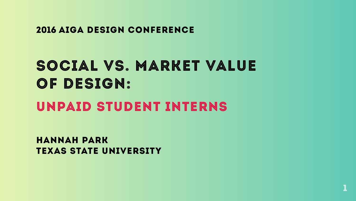

#### 2016 aiga design conference

#### hannah park TEXAS STATE UNIVERSITY

### social vs. market value OF DESIGN: unpaid student interns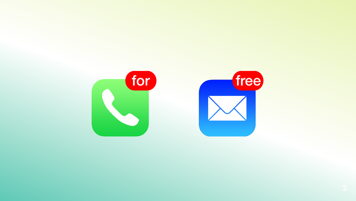



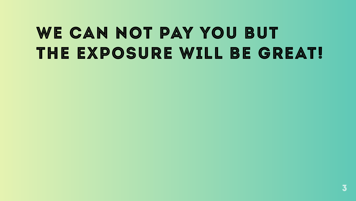![](_page_2_Picture_1.jpeg)

### we can not pay you but the exposure will be great!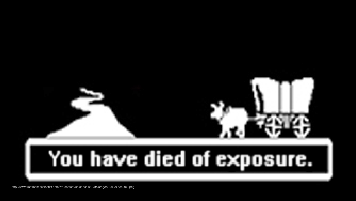![](_page_3_Picture_0.jpeg)

4 http://www.trustmeimascientist.com/wp-content/uploads/2013/04/oregon-trail-exposure2.png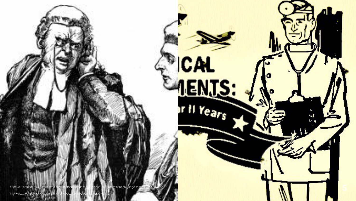![](_page_4_Picture_0.jpeg)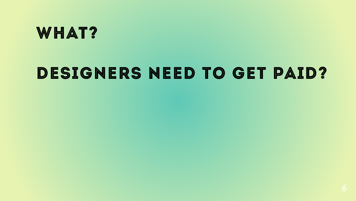### WHAT?

### Designers need to get paid?

![](_page_5_Picture_2.jpeg)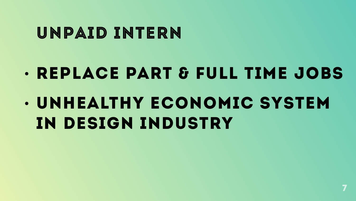![](_page_6_Picture_8.jpeg)

### UNPAID INTERN

## replace part & full-time jobs **• UNHEALTHY ECONOMIC SYSTEM** IN DESIGN INDUSTRY

![](_page_6_Picture_2.jpeg)

![](_page_6_Picture_3.jpeg)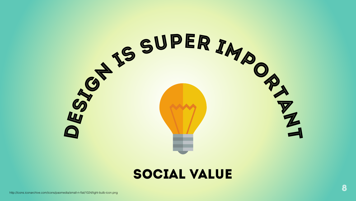![](_page_7_Picture_3.jpeg)

![](_page_7_Picture_0.jpeg)

#### social value

http://icons.iconarchive.com/icons/paomedia/small-n-flat/1024/light-bulb-icon.png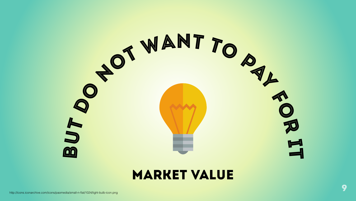![](_page_8_Picture_0.jpeg)

#### **MARKET VALUE**

http://icons.iconarchive.com/icons/paomedia/small-n-flat/1024/light-bulb-icon.png

![](_page_8_Picture_3.jpeg)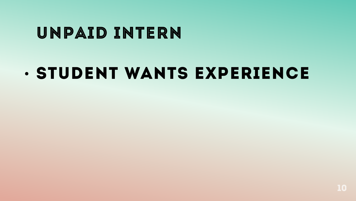![](_page_9_Picture_3.jpeg)

### unpaid intern

### **. STUDENT WANTS EXPERIENCE**

![](_page_9_Picture_2.jpeg)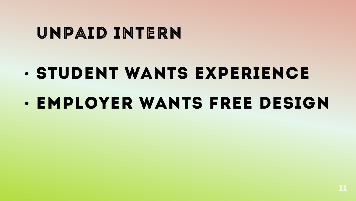![](_page_10_Picture_4.jpeg)

# Student wants experience **• EMPLOYER WANTS FREE DESIGN**

![](_page_10_Picture_2.jpeg)

### unpaid intern

![](_page_10_Picture_3.jpeg)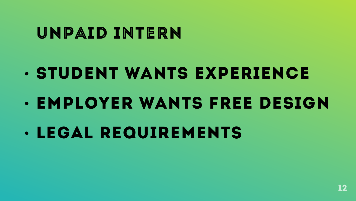### UNPAID INTERN

# • STUDENT WANTS EXPERIENCE **• EMPLOYER WANTS FREE DESIGN** • LEGAL REQUIREMENTS

![](_page_11_Picture_2.jpeg)

![](_page_11_Picture_3.jpeg)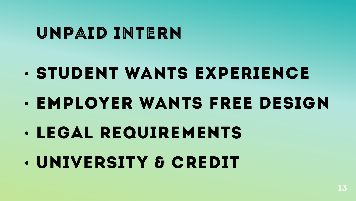13

#### UNPAID INTERN

# Student wants experience **• EMPLOYER WANTS FREE DESIGN** legal requirements university & credit

![](_page_12_Picture_2.jpeg)

![](_page_12_Picture_3.jpeg)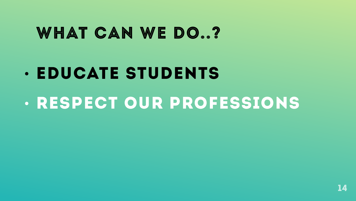![](_page_13_Picture_3.jpeg)

# **• EDUCATE STUDENTS** respect our professions

![](_page_13_Picture_2.jpeg)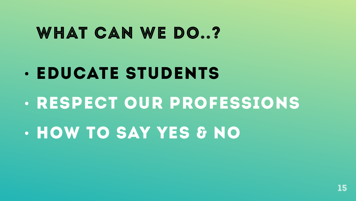# • EDUCATE STUDENTS · RESPECT OUR PROFESSIONS • HOW TO SAY YES & NO

![](_page_14_Picture_2.jpeg)

![](_page_14_Picture_3.jpeg)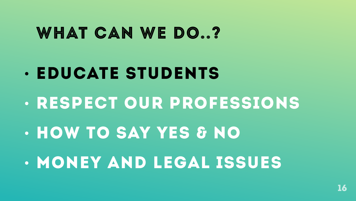# • EDUCATE STUDENTS • RESPECT OUR PROFESSIONS • HOW TO SAY YES & NO • MONEY AND LEGAL ISSUES

![](_page_15_Picture_2.jpeg)

![](_page_15_Picture_3.jpeg)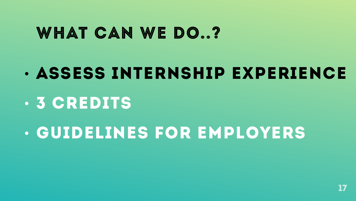17

### WHAT CAN WE DO..?

# assess internship experience **. 3 CREDITS** guidelines for employers

![](_page_16_Picture_2.jpeg)

![](_page_16_Picture_3.jpeg)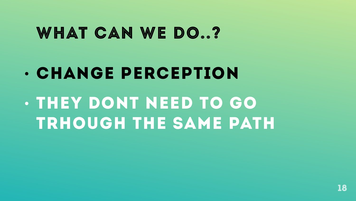![](_page_17_Picture_3.jpeg)

## change perception they dont need to go trhough the same path

![](_page_17_Picture_2.jpeg)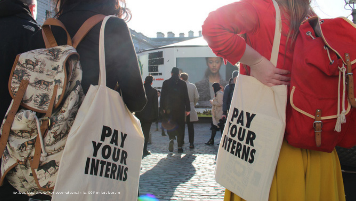### **ITTANA LLI 1776**

http://icons.iconarchive.com/icons/paomedia/small-n-flat/1024/light-bulb-icon.png

![](_page_18_Picture_2.jpeg)